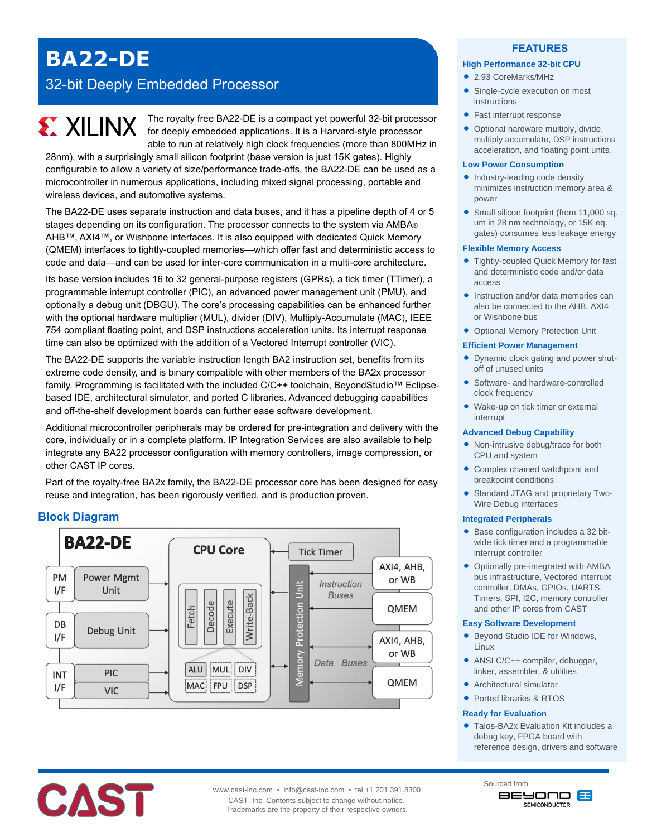## **BA22-DE**

## 32-bit Deeply Embedded Processor

# **EXALINX**

The royalty free BA22-DE is a compact yet powerful 32-bit processor for deeply embedded applications. It is a Harvard-style processor able to run at relatively high clock frequencies (more than 800MHz in

28nm), with a surprisingly small silicon footprint (base version is just 15K gates). Highly configurable to allow a variety of size/performance trade-offs, the BA22-DE can be used as a microcontroller in numerous applications, including mixed signal processing, portable and wireless devices, and automotive systems.

The BA22-DE uses separate instruction and data buses, and it has a pipeline depth of 4 or 5 stages depending on its configuration. The processor connects to the system via AMBA® AHB™, AXI4™, or Wishbone interfaces. It is also equipped with dedicated Quick Memory (QMEM) interfaces to tightly-coupled memories—which offer fast and deterministic access to code and data—and can be used for inter-core communication in a multi-core architecture.

Its base version includes 16 to 32 general-purpose registers (GPRs), a tick timer (TTimer), a programmable interrupt controller (PIC), an advanced power management unit (PMU), and optionally a debug unit (DBGU). The core's processing capabilities can be enhanced further with the optional hardware multiplier (MUL), divider (DIV), Multiply-Accumulate (MAC), IEEE 754 compliant floating point, and DSP instructions acceleration units. Its interrupt response time can also be optimized with the addition of a Vectored Interrupt controller (VIC).

The BA22-DE supports the variable instruction length BA2 instruction set, benefits from its extreme code density, and is binary compatible with other members of the BA2x processor family. Programming is facilitated with the included C/C++ toolchain, BeyondStudio™ Eclipsebased IDE, architectural simulator, and ported C libraries. Advanced debugging capabilities and off-the-shelf development boards can further ease software development.

Additional microcontroller peripherals may be ordered for pre-integration and delivery with the core, individually or in a complete platform. IP Integration Services are also available to help integrate any BA22 processor configuration with memory controllers, image compression, or other CAST IP cores.

Part of the royalty-free BA2x family, the BA22-DE processor core has been designed for easy reuse and integration, has been rigorously verified, and is production proven.

## **Block Diagram**



#### **FEATURES**

#### **High Performance 32-bit CPU**

- 2.93 CoreMarks/MHz
- Single-cycle execution on most instructions
- Fast interrupt response
- Optional hardware multiply, divide, multiply accumulate, DSP instructions acceleration, and floating point units.

#### **Low Power Consumption**

- Industry-leading code density minimizes instruction memory area & power
- Small silicon footprint (from 11,000 sq. um in 28 nm technology, or 15K eq. gates) consumes less leakage energy

#### **Flexible Memory Access**

- Tightly-coupled Quick Memory for fast and deterministic code and/or data access
- Instruction and/or data memories can also be connected to the AHB, AXI4 or Wishbone bus
- Optional Memory Protection Unit

#### **Efficient Power Management**

- **•** Dynamic clock gating and power shutoff of unused units
- Software- and hardware-controlled clock frequency
- Wake-up on tick timer or external interrupt

#### **Advanced Debug Capability**

- Non-intrusive debug/trace for both CPU and system
- Complex chained watchpoint and breakpoint conditions
- Standard JTAG and proprietary Two-Wire Debug interfaces

#### **Integrated Peripherals**

- Base configuration includes a 32 bitwide tick timer and a programmable interrupt controller
- Optionally pre-integrated with AMBA bus infrastructure, Vectored interrupt controller, DMAs, GPIOs, UARTS, Timers, SPI, I2C, memory controller and other IP cores from CAST

#### **Easy Software Development**

- Beyond Studio IDE for Windows, Linux
- ANSI C/C++ compiler, debugger, linker, assembler, & utilities
- Architectural simulator
- Ported libraries & RTOS

#### **Ready for Evaluation**

Sourced from

• Talos-BA2x Evaluation Kit includes a debug key, FPGA board with reference design, drivers and software